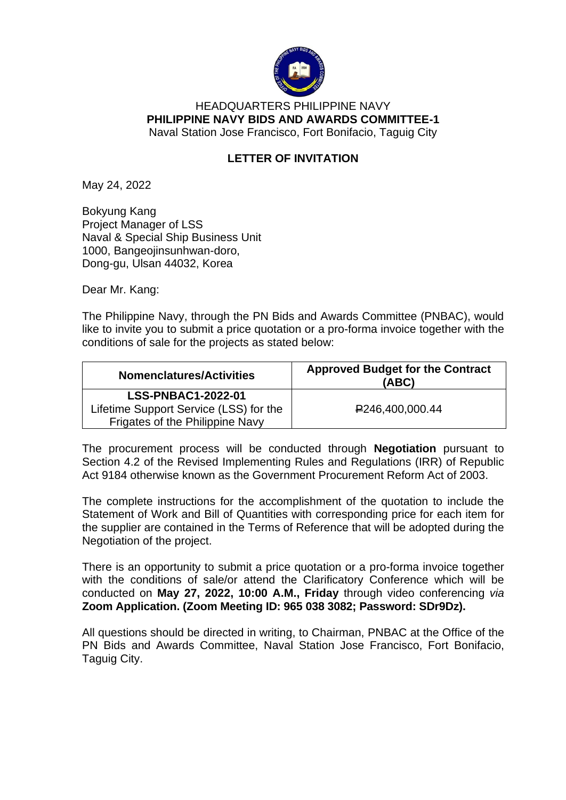

## HEADQUARTERS PHILIPPINE NAVY **PHILIPPINE NAVY BIDS AND AWARDS COMMITTEE-1** Naval Station Jose Francisco, Fort Bonifacio, Taguig City

## **LETTER OF INVITATION**

May 24, 2022

Bokyung Kang Project Manager of LSS Naval & Special Ship Business Unit 1000, Bangeojinsunhwan-doro, Dong-gu, Ulsan 44032, Korea

Dear Mr. Kang:

The Philippine Navy, through the PN Bids and Awards Committee (PNBAC), would like to invite you to submit a price quotation or a pro-forma invoice together with the conditions of sale for the projects as stated below:

| <b>Nomenclatures/Activities</b>        | <b>Approved Budget for the Contract</b><br>(ABC) |
|----------------------------------------|--------------------------------------------------|
| <b>LSS-PNBAC1-2022-01</b>              |                                                  |
| Lifetime Support Service (LSS) for the | P <sub>246,400,000.44</sub>                      |
| Frigates of the Philippine Navy        |                                                  |

The procurement process will be conducted through **Negotiation** pursuant to Section 4.2 of the Revised Implementing Rules and Regulations (IRR) of Republic Act 9184 otherwise known as the Government Procurement Reform Act of 2003.

The complete instructions for the accomplishment of the quotation to include the Statement of Work and Bill of Quantities with corresponding price for each item for the supplier are contained in the Terms of Reference that will be adopted during the Negotiation of the project.

There is an opportunity to submit a price quotation or a pro-forma invoice together with the conditions of sale/or attend the Clarificatory Conference which will be conducted on **May 27, 2022, 10:00 A.M., Friday** through video conferencing *via*  **Zoom Application. (Zoom Meeting ID: 965 038 3082; Password: SDr9Dz).**

All questions should be directed in writing, to Chairman, PNBAC at the Office of the PN Bids and Awards Committee, Naval Station Jose Francisco, Fort Bonifacio, Taguig City.